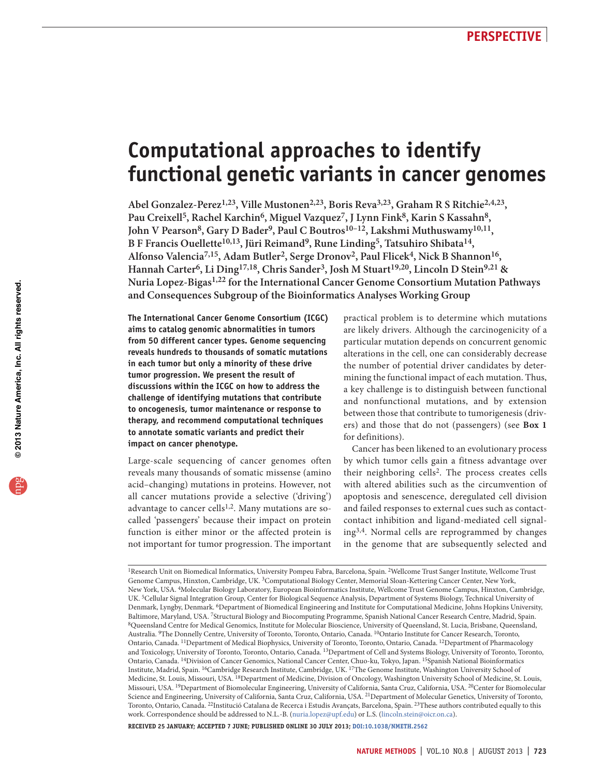# **Computational approaches to identify functional genetic variants in cancer genomes**

Abel Gonzalez-Perez<sup>1,23</sup>, Ville Mustonen<sup>2,23</sup>, Boris Reva<sup>3,23</sup>, Graham R S Ritchie<sup>2,4,23</sup>, Pau Creixell<sup>5</sup>, Rachel Karchin<sup>6</sup>, Miguel Vazquez<sup>7</sup>, J Lynn Fink<sup>8</sup>, Karin S Kassahn<sup>8</sup>, John V Pearson<sup>8</sup>, Gary D Bader<sup>9</sup>, Paul C Boutros<sup>10-12</sup>, Lakshmi Muthuswamy<sup>10,11</sup>, B F Francis Ouellette<sup>10,13</sup>, Jüri Reimand<sup>9</sup>, Rune Linding<sup>5</sup>, Tatsuhiro Shibata<sup>14</sup>, Alfonso Valencia<sup>7,15</sup>, Adam Butler<sup>2</sup>, Serge Dronov<sup>2</sup>, Paul Flicek<sup>4</sup>, Nick B Shannon<sup>16</sup>, Hannah Carter<sup>6</sup>, Li Ding<sup>17,18</sup>, Chris Sander<sup>3</sup>, Josh M Stuart<sup>19,20</sup>, Lincoln D Stein<sup>9,21</sup> & **Nuria Lopez-Bigas1,22 for the International Cancer Genome Consortium Mutation Pathways and Consequences Subgroup of the Bioinformatics Analyses Working Group**

**The International Cancer Genome Consortium (ICGC) aims to catalog genomic abnormalities in tumors from 50 different cancer types. Genome sequencing reveals hundreds to thousands of somatic mutations in each tumor but only a minority of these drive tumor progression. We present the result of discussions within the ICGC on how to address the challenge of identifying mutations that contribute to oncogenesis, tumor maintenance or response to therapy, and recommend computational techniques to annotate somatic variants and predict their impact on cancer phenotype.**

Large-scale sequencing of cancer genomes often reveals many thousands of somatic missense (amino acid–changing) mutations in proteins. However, not all cancer mutations provide a selective ('driving') advantage to cancer cells<sup>[1,](#page-5-0)2</sup>. Many mutations are socalled 'passengers' because their impact on protein function is either minor or the affected protein is not important for tumor progression. The important

practical problem is to determine which mutations are likely drivers. Although the carcinogenicity of a particular mutation depends on concurrent genomic alterations in the cell, one can considerably decrease the number of potential driver candidates by determining the functional impact of each mutation. Thus, a key challenge is to distinguish between functional and nonfunctional mutations, and by extension between those that contribute to tumorigenesis (drivers) and those that do not (passengers) (see **[Box 1](#page-1-0)** for definitions).

Cancer has been likened to an evolutionary process by which tumor cells gain a fitness advantage over their neighboring cells<sup>[2](#page-5-1)</sup>. The process creates cells with altered abilities such as the circumvention of apoptosis and senescence, deregulated cell division and failed responses to external cues such as contactcontact inhibition and ligand-mediated cell signaling[3,](#page-5-2)[4.](#page-5-3) Normal cells are reprogrammed by changes in the genome that are subsequently selected and

1Research Unit on Biomedical Informatics, University Pompeu Fabra, Barcelona, Spain. 2Wellcome Trust Sanger Institute, Wellcome Trust Genome Campus, Hinxton, Cambridge, UK. 3Computational Biology Center, Memorial Sloan-Kettering Cancer Center, New York, New York, USA. 4Molecular Biology Laboratory, European Bioinformatics Institute, Wellcome Trust Genome Campus, Hinxton, Cambridge, UK. 5Cellular Signal Integration Group, Center for Biological Sequence Analysis, Department of Systems Biology, Technical University of Denmark, Lyngby, Denmark. 6Department of Biomedical Engineering and Institute for Computational Medicine, Johns Hopkins University, Baltimore, Maryland, USA. 7Structural Biology and Biocomputing Programme, Spanish National Cancer Research Centre, Madrid, Spain.<br><sup>8</sup>Queensland Centre for Medical Genomics, Institute for Molecular Bioscience, University of Australia. 9The Donnelly Centre, University of Toronto, Toronto, Ontario, Canada. 10Ontario Institute for Cancer Research, Toronto, Ontario, Canada. 11Department of Medical Biophysics, University of Toronto, Toronto, Ontario, Canada. 12Department of Pharmacology and Toxicology, University of Toronto, Toronto, Ontario, Canada. 13Department of Cell and Systems Biology, University of Toronto, Toronto, Ontario, Canada. 14Division of Cancer Genomics, National Cancer Center, Chuo-ku, Tokyo, Japan. 15Spanish National Bioinformatics Institute, Madrid, Spain. 16Cambridge Research Institute, Cambridge, UK. 17The Genome Institute, Washington University School of Medicine, St. Louis, Missouri, USA. 18Department of Medicine, Division of Oncology, Washington University School of Medicine, St. Louis, Missouri, USA. 19Department of Biomolecular Engineering, University of California, Santa Cruz, California, USA. 20Center for Biomolecular Science and Engineering, University of California, Santa Cruz, California, USA. 21Department of Molecular Genetics, University of Toronto, Toronto, Ontario, Canada. 22Institució Catalana de Recerca i Estudis Avançats, Barcelona, Spain. 23These authors contributed equally to this work. Correspondence should be addressed to N.L.-B. (nuria.lopez@upf.edu) or L.S. (lincoln.stein@oicr.on.ca).

**Received 25 January; accepted 7 June; published online 30 july 2013; [doi:10.1038/nmeth.2562](http://www.nature.com/doifinder/10.1038/nmeth.2562)**

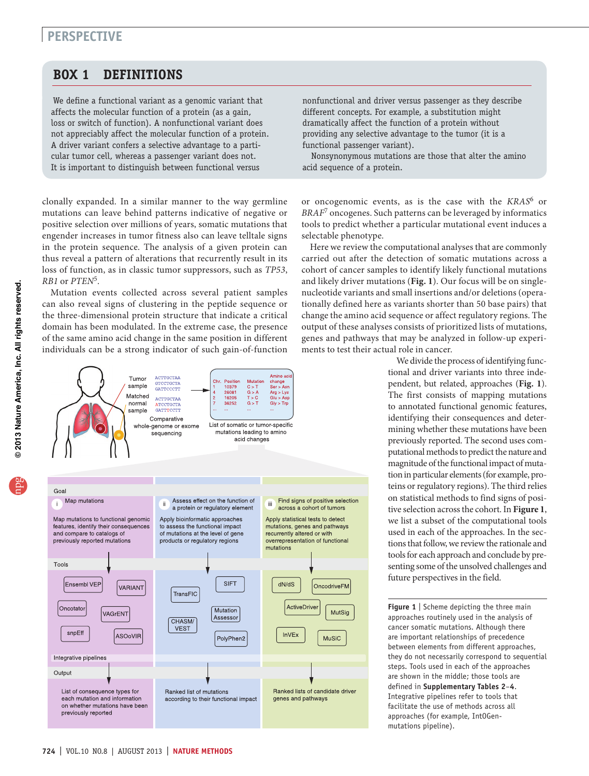# **perspective**

## **Box 1 DEFINITIONS**

<span id="page-1-0"></span>We define a functional variant as a genomic variant that affects the molecular function of a protein (as a gain, loss or switch of function). A nonfunctional variant does not appreciably affect the molecular function of a protein. A driver variant confers a selective advantage to a particular tumor cell, whereas a passenger variant does not. It is important to distinguish between functional versus

clonally expanded. In a similar manner to the way germline mutations can leave behind patterns indicative of negative or positive selection over millions of years, somatic mutations that engender increases in tumor fitness also can leave telltale signs in the protein sequence. The analysis of a given protein can thus reveal a pattern of alterations that recurrently result in its loss of function, as in classic tumor suppressors, such as *TP53*, *RB1* or *PTEN*[5](#page-5-4).

Mutation events collected across several patient samples can also reveal signs of clustering in the peptide sequence or the three-dimensional protein structure that indicate a critical domain has been modulated. In the extreme case, the presence of the same amino acid change in the same position in different individuals can be a strong indicator of such gain-of-function

**CTTGCTA** 

GTCCTGCTA<br>GATTCCCTT

Tumor

sample



Nonsynonymous mutations are those that alter the amino acid sequence of a protein.

or oncogenomic events, as is the case with the *KRAS*[6](#page-5-5) or *BRAF*[7](#page-5-6) oncogenes. Such patterns can be leveraged by informatics tools to predict whether a particular mutational event induces a selectable phenotype.

Here we review the computational analyses that are commonly carried out after the detection of somatic mutations across a cohort of cancer samples to identify likely functional mutations and likely driver mutations (**[Fig. 1](#page-1-1)**). Our focus will be on singlenucleotide variants and small insertions and/or deletions (operationally defined here as variants shorter than 50 base pairs) that change the amino acid sequence or affect regulatory regions. The output of these analyses consists of prioritized lists of mutations, genes and pathways that may be analyzed in follow-up experiments to test their actual role in cancer.

> We divide the process of identifying functional and driver variants into three independent, but related, approaches (**[Fig. 1](#page-1-1)**). The first consists of mapping mutations to annotated functional genomic features, identifying their consequences and determining whether these mutations have been previously reported. The second uses computational methods to predict the nature and magnitude of the functional impact of mutation in particular elements (for example, proteins or regulatory regions). The third relies on statistical methods to find signs of positive selection across the cohort. In **[Figure 1](#page-1-1)**, we list a subset of the computational tools used in each of the approaches. In the sections that follow, we review the rationale and tools for each approach and conclude by presenting some of the unsolved challenges and future perspectives in the field.

> <span id="page-1-1"></span>**Figure 1** | Scheme depicting the three main approaches routinely used in the analysis of cancer somatic mutations. Although there are important relationships of precedence between elements from different approaches, they do not necessarily correspond to sequential steps. Tools used in each of the approaches are shown in the middle; those tools are defined in **Supplementary Tables 2**–**4**. Integrative pipelines refer to tools that facilitate the use of methods across all approaches (for example, IntOGenmutations pipeline).



Amino ac

change

10379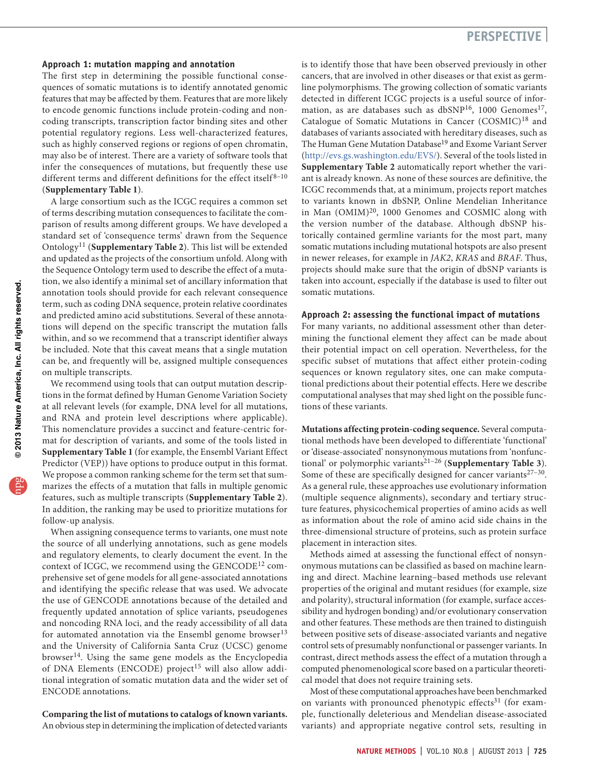#### **Approach 1: mutation mapping and annotation**

The first step in determining the possible functional consequences of somatic mutations is to identify annotated genomic features that may be affected by them. Features that are more likely to encode genomic functions include protein-coding and noncoding transcripts, transcription factor binding sites and other potential regulatory regions. Less well-characterized features, such as highly conserved regions or regions of open chromatin, may also be of interest. There are a variety of software tools that infer the consequences of mutations, but frequently these use different terms and different definitions for the effect itself $8-10$  $8-10$ (**Supplementary Table 1**).

A large consortium such as the ICGC requires a common set of terms describing mutation consequences to facilitate the comparison of results among different groups. We have developed a standard set of 'consequence terms' drawn from the Sequence Ontology[11](#page-5-9) (**Supplementary Table 2**). This list will be extended and updated as the projects of the consortium unfold. Along with the Sequence Ontology term used to describe the effect of a mutation, we also identify a minimal set of ancillary information that annotation tools should provide for each relevant consequence term, such as coding DNA sequence, protein relative coordinates and predicted amino acid substitutions. Several of these annotations will depend on the specific transcript the mutation falls within, and so we recommend that a transcript identifier always be included. Note that this caveat means that a single mutation can be, and frequently will be, assigned multiple consequences on multiple transcripts.

We recommend using tools that can output mutation descriptions in the format defined by Human Genome Variation Society at all relevant levels (for example, DNA level for all mutations, and RNA and protein level descriptions where applicable). This nomenclature provides a succinct and feature-centric format for description of variants, and some of the tools listed in **Supplementary Table 1** (for example, the Ensembl Variant Effect Predictor (VEP)) have options to produce output in this format. We propose a common ranking scheme for the term set that summarizes the effects of a mutation that falls in multiple genomic features, such as multiple transcripts (**Supplementary Table 2**). In addition, the ranking may be used to prioritize mutations for follow-up analysis.

When assigning consequence terms to variants, one must note the source of all underlying annotations, such as gene models and regulatory elements, to clearly document the event. In the context of ICGC, we recommend using the GENCODE<sup>[12](#page-5-10)</sup> comprehensive set of gene models for all gene-associated annotations and identifying the specific release that was used. We advocate the use of GENCODE annotations because of the detailed and frequently updated annotation of splice variants, pseudogenes and noncoding RNA loci, and the ready accessibility of all data for automated annotation via the Ensembl genome browser<sup>[13](#page-5-11)</sup> and the University of California Santa Cruz (UCSC) genome browser<sup>[14](#page-5-12)</sup>. Using the same gene models as the Encyclopedia of DNA Elements (ENCODE) project<sup>15</sup> will also allow additional integration of somatic mutation data and the wider set of ENCODE annotations.

## **Comparing the list of mutations to catalogs of known variants.** An obvious step in determining the implication of detected variants

is to identify those that have been observed previously in other cancers, that are involved in other diseases or that exist as germline polymorphisms. The growing collection of somatic variants detected in different ICGC projects is a useful source of infor-mation, as are databases such as dbSNP<sup>[16](#page-5-14)</sup>, 1000 Genomes<sup>17</sup>, Catalogue of Somatic Mutations in Cancer (COSMIC)<sup>[18](#page-5-16)</sup> and databases of variants associated with hereditary diseases, such as The Human Gene Mutation Database<sup>19</sup> and Exome Variant Server [\(http://evs.gs.washington.edu/EVS/](http://evs.gs.washington.edu/EVS/)). Several of the tools listed in **Supplementary Table 2** automatically report whether the variant is already known. As none of these sources are definitive, the ICGC recommends that, at a minimum, projects report matches to variants known in dbSNP, Online Mendelian Inheritance in Man (OMIM)<sup>20</sup>, 1000 Genomes and COSMIC along with the version number of the database. Although dbSNP historically contained germline variants for the most part, many somatic mutations including mutational hotspots are also present in newer releases, for example in *JAK2*, *KRAS* and *BRAF*. Thus, projects should make sure that the origin of dbSNP variants is taken into account, especially if the database is used to filter out somatic mutations.

#### **Approach 2: assessing the functional impact of mutations**

For many variants, no additional assessment other than determining the functional element they affect can be made about their potential impact on cell operation. Nevertheless, for the specific subset of mutations that affect either protein-coding sequences or known regulatory sites, one can make computational predictions about their potential effects. Here we describe computational analyses that may shed light on the possible functions of these variants.

**Mutations affecting protein-coding sequence.** Several computational methods have been developed to differentiate 'functional' or 'disease-associated' nonsynonymous mutations from 'nonfunctional' or polymorphic variants[21–](#page-5-19)[26](#page-5-20) (**Supplementary Table 3**). Some of these are specifically designed for cancer variants $27-30$  $27-30$ . As a general rule, these approaches use evolutionary information (multiple sequence alignments), secondary and tertiary structure features, physicochemical properties of amino acids as well as information about the role of amino acid side chains in the three-dimensional structure of proteins, such as protein surface placement in interaction sites.

Methods aimed at assessing the functional effect of nonsynonymous mutations can be classified as based on machine learning and direct. Machine learning–based methods use relevant properties of the original and mutant residues (for example, size and polarity), structural information (for example, surface accessibility and hydrogen bonding) and/or evolutionary conservation and other features. These methods are then trained to distinguish between positive sets of disease-associated variants and negative control sets of presumably nonfunctional or passenger variants. In contrast, direct methods assess the effect of a mutation through a computed phenomenological score based on a particular theoretical model that does not require training sets.

Most of these computational approaches have been benchmarked on variants with pronounced phenotypic effects<sup>31</sup> (for example, functionally deleterious and Mendelian disease-associated variants) and appropriate negative control sets, resulting in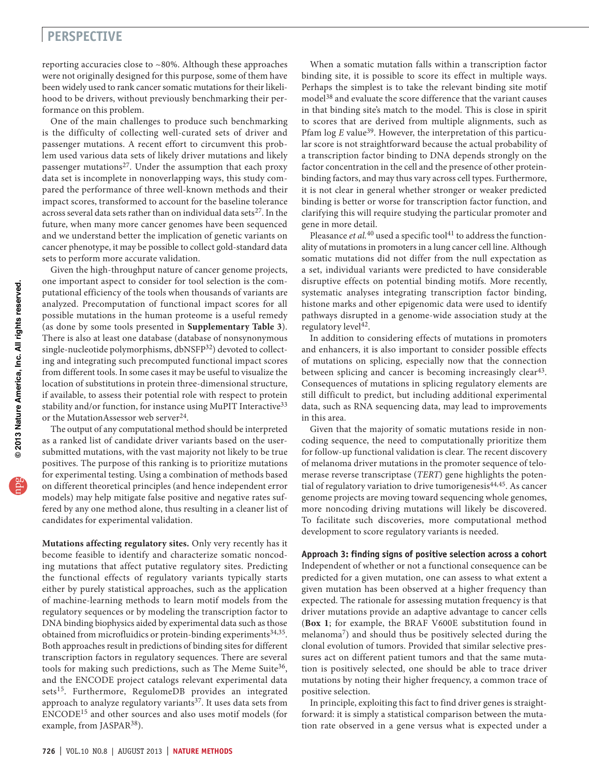## **perspective**

reporting accuracies close to ~80%. Although these approaches were not originally designed for this purpose, some of them have been widely used to rank cancer somatic mutations for their likelihood to be drivers, without previously benchmarking their performance on this problem.

One of the main challenges to produce such benchmarking is the difficulty of collecting well-curated sets of driver and passenger mutations. A recent effort to circumvent this problem used various data sets of likely driver mutations and likely passenger mutations $27$ . Under the assumption that each proxy data set is incomplete in nonoverlapping ways, this study compared the performance of three well-known methods and their impact scores, transformed to account for the baseline tolerance across several data sets rather than on individual data sets<sup>27</sup>. In the future, when many more cancer genomes have been sequenced and we understand better the implication of genetic variants on cancer phenotype, it may be possible to collect gold-standard data sets to perform more accurate validation.

Given the high-throughput nature of cancer genome projects, one important aspect to consider for tool selection is the computational efficiency of the tools when thousands of variants are analyzed. Precomputation of functional impact scores for all possible mutations in the human proteome is a useful remedy (as done by some tools presented in **Supplementary Table 3**). There is also at least one database (database of nonsynonymous single-nucleotide polymorphisms, dbNSFP<sup>32</sup>) devoted to collecting and integrating such precomputed functional impact scores from different tools. In some cases it may be useful to visualize the location of substitutions in protein three-dimensional structure, if available, to assess their potential role with respect to protein stability and/or function, for instance using MuPIT Interactive<sup>33</sup> or the MutationAssessor web server<sup>[24](#page-5-26)</sup>.

The output of any computational method should be interpreted as a ranked list of candidate driver variants based on the usersubmitted mutations, with the vast majority not likely to be true positives. The purpose of this ranking is to prioritize mutations for experimental testing. Using a combination of methods based on different theoretical principles (and hence independent error models) may help mitigate false positive and negative rates suffered by any one method alone, thus resulting in a cleaner list of candidates for experimental validation.

**Mutations affecting regulatory sites.** Only very recently has it become feasible to identify and characterize somatic noncoding mutations that affect putative regulatory sites. Predicting the functional effects of regulatory variants typically starts either by purely statistical approaches, such as the application of machine-learning methods to learn motif models from the regulatory sequences or by modeling the transcription factor to DNA binding biophysics aided by experimental data such as those obtained from microfluidics or protein-binding experiments<sup>[34,](#page-5-27)35</sup>. Both approaches result in predictions of binding sites for different transcription factors in regulatory sequences. There are several tools for making such predictions, such as The Meme Suite<sup>36</sup>, and the ENCODE project catalogs relevant experimental data sets<sup>15</sup>. Furthermore, RegulomeDB provides an integrated approach to analyze regulatory variants<sup>[37](#page-5-30)</sup>. It uses data sets from ENCODE[15](#page-5-13) and other sources and also uses motif models (for example, from JASPAR<sup>38</sup>).

When a somatic mutation falls within a transcription factor binding site, it is possible to score its effect in multiple ways. Perhaps the simplest is to take the relevant binding site motif model<sup>38</sup> and evaluate the score difference that the variant causes in that binding site's match to the model. This is close in spirit to scores that are derived from multiple alignments, such as Pfam log *E* value<sup>[39](#page-5-32)</sup>. However, the interpretation of this particular score is not straightforward because the actual probability of a transcription factor binding to DNA depends strongly on the factor concentration in the cell and the presence of other proteinbinding factors, and may thus vary across cell types. Furthermore, it is not clear in general whether stronger or weaker predicted binding is better or worse for transcription factor function, and clarifying this will require studying the particular promoter and gene in more detail.

Pleasance *et al.*<sup>[40](#page-5-33)</sup> used a specific tool<sup>41</sup> to address the functionality of mutations in promoters in a lung cancer cell line. Although somatic mutations did not differ from the null expectation as a set, individual variants were predicted to have considerable disruptive effects on potential binding motifs. More recently, systematic analyses integrating transcription factor binding, histone marks and other epigenomic data were used to identify pathways disrupted in a genome-wide association study at the regulatory level<sup>[42](#page-5-35)</sup>.

In addition to considering effects of mutations in promoters and enhancers, it is also important to consider possible effects of mutations on splicing, especially now that the connection between splicing and cancer is becoming increasingly clear<sup>[43](#page-5-36)</sup>. Consequences of mutations in splicing regulatory elements are still difficult to predict, but including additional experimental data, such as RNA sequencing data, may lead to improvements in this area.

Given that the majority of somatic mutations reside in noncoding sequence, the need to computationally prioritize them for follow-up functional validation is clear. The recent discovery of melanoma driver mutations in the promoter sequence of telomerase reverse transcriptase (*TERT*) gene highlights the poten-tial of regulatory variation to drive tumorigenesis<sup>[44,](#page-5-37)45</sup>. As cancer genome projects are moving toward sequencing whole genomes, more noncoding driving mutations will likely be discovered. To facilitate such discoveries, more computational method development to score regulatory variants is needed.

### **Approach 3: finding signs of positive selection across a cohort**

Independent of whether or not a functional consequence can be predicted for a given mutation, one can assess to what extent a given mutation has been observed at a higher frequency than expected. The rationale for assessing mutation frequency is that driver mutations provide an adaptive advantage to cancer cells (**[Box 1](#page-1-0)**; for example, the BRAF V600E substitution found in melanoma[7\)](#page-5-6) and should thus be positively selected during the clonal evolution of tumors. Provided that similar selective pressures act on different patient tumors and that the same mutation is positively selected, one should be able to trace driver mutations by noting their higher frequency, a common trace of positive selection.

In principle, exploiting this fact to find driver genes is straightforward: it is simply a statistical comparison between the mutation rate observed in a gene versus what is expected under a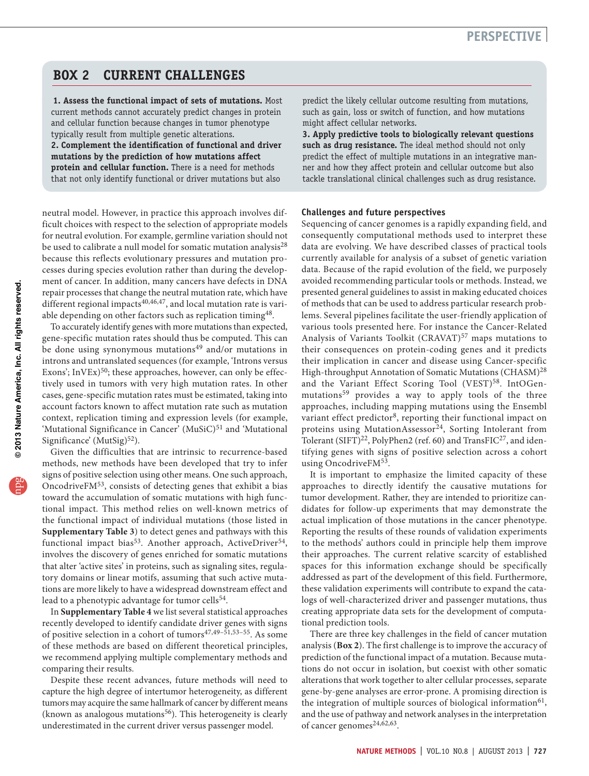## **Box 2 CURRENT CHALLENGES**

<span id="page-4-0"></span>**1. Assess the functional impact of sets of mutations.** Most current methods cannot accurately predict changes in protein and cellular function because changes in tumor phenotype typically result from multiple genetic alterations. **2. Complement the identification of functional and driver mutations by the prediction of how mutations affect protein and cellular function.** There is a need for methods that not only identify functional or driver mutations but also

neutral model. However, in practice this approach involves difficult choices with respect to the selection of appropriate models for neutral evolution. For example, germline variation should not be used to calibrate a null model for somatic mutation analysis<sup>28</sup> because this reflects evolutionary pressures and mutation processes during species evolution rather than during the development of cancer. In addition, many cancers have defects in DNA repair processes that change the neutral mutation rate, which have different regional impacts<sup>[40,](#page-5-33)[46,](#page-5-40)[47](#page-5-41)</sup>, and local mutation rate is variable depending on other factors such as replication timing[48.](#page-6-0)

To accurately identify genes with more mutations than expected, gene-specific mutation rates should thus be computed. This can be done using synonymous mutations<sup>[49](#page-6-1)</sup> and/or mutations in introns and untranslated sequences (for example, 'Introns versus Exons'; InVEx)<sup>50</sup>; these approaches, however, can only be effectively used in tumors with very high mutation rates. In other cases, gene-specific mutation rates must be estimated, taking into account factors known to affect mutation rate such as mutation context, replication timing and expression levels (for example, 'Mutational Significance in Cancer' (MuSiC)<sup>51</sup> and 'Mutational Significance' (MutSig)<sup>52</sup>).

Given the difficulties that are intrinsic to recurrence-based methods, new methods have been developed that try to infer signs of positive selection using other means. One such approach, OncodriveFM<sup>[53](#page-6-5)</sup>, consists of detecting genes that exhibit a bias toward the accumulation of somatic mutations with high functional impact. This method relies on well-known metrics of the functional impact of individual mutations (those listed in **Supplementary Table 3**) to detect genes and pathways with this functional impact bias<sup>[53](#page-6-5)</sup>. Another approach, ActiveDriver<sup>54</sup>, involves the discovery of genes enriched for somatic mutations that alter 'active sites' in proteins, such as signaling sites, regulatory domains or linear motifs, assuming that such active mutations are more likely to have a widespread downstream effect and lead to a phenotypic advantage for tumor cells<sup>54</sup>.

In **Supplementary Table 4** we list several statistical approaches recently developed to identify candidate driver genes with signs of positive selection in a cohort of tumors<sup>[47,](#page-5-41)49-[51,](#page-6-3)53-[55](#page-6-7)</sup>. As some of these methods are based on different theoretical principles, we recommend applying multiple complementary methods and comparing their results.

Despite these recent advances, future methods will need to capture the high degree of intertumor heterogeneity, as different tumors may acquire the same hallmark of cancer by different means (known as analogous mutations $56$ ). This heterogeneity is clearly underestimated in the current driver versus passenger model.

predict the likely cellular outcome resulting from mutations, such as gain, loss or switch of function, and how mutations might affect cellular networks.

**3. Apply predictive tools to biologically relevant questions such as drug resistance.** The ideal method should not only predict the effect of multiple mutations in an integrative manner and how they affect protein and cellular outcome but also tackle translational clinical challenges such as drug resistance.

#### **Challenges and future perspectives**

Sequencing of cancer genomes is a rapidly expanding field, and consequently computational methods used to interpret these data are evolving. We have described classes of practical tools currently available for analysis of a subset of genetic variation data. Because of the rapid evolution of the field, we purposely avoided recommending particular tools or methods. Instead, we presented general guidelines to assist in making educated choices of methods that can be used to address particular research problems. Several pipelines facilitate the user-friendly application of various tools presented here. For instance the Cancer-Related Analysis of Variants Toolkit (CRAVAT)<sup>[57](#page-6-9)</sup> maps mutations to their consequences on protein-coding genes and it predicts their implication in cancer and disease using Cancer-specific High-throughput Annotation of Somatic Mutations (CHASM)<sup>[28](#page-5-39)</sup> and the Variant Effect Scoring Tool (VEST)<sup>[58](#page-6-10)</sup>. IntOGenmutations<sup>59</sup> provides a way to apply tools of the three approaches, including mapping mutations using the Ensembl variant effect predictor<sup>[8](#page-5-7)</sup>, reporting their functional impact on proteins using MutationAssessor<sup>24</sup>, Sorting Intolerant from Tolerant (SIFT)<sup>22</sup>, PolyPhen2 (ref. [60\)](#page-6-12) and TransFIC<sup>27</sup>, and identifying genes with signs of positive selection across a cohort using OncodriveFM<sup>[53](#page-6-5)</sup>.

It is important to emphasize the limited capacity of these approaches to directly identify the causative mutations for tumor development. Rather, they are intended to prioritize candidates for follow-up experiments that may demonstrate the actual implication of those mutations in the cancer phenotype. Reporting the results of these rounds of validation experiments to the methods' authors could in principle help them improve their approaches. The current relative scarcity of established spaces for this information exchange should be specifically addressed as part of the development of this field. Furthermore, these validation experiments will contribute to expand the catalogs of well-characterized driver and passenger mutations, thus creating appropriate data sets for the development of computational prediction tools.

There are three key challenges in the field of cancer mutation analysis (**[Box 2](#page-4-0)**). The first challenge is to improve the accuracy of prediction of the functional impact of a mutation. Because mutations do not occur in isolation, but coexist with other somatic alterations that work together to alter cellular processes, separate gene-by-gene analyses are error-prone. A promising direction is the integration of multiple sources of biological information $61$ , and the use of pathway and network analyses in the interpretation of cancer genomes $24,62,63$  $24,62,63$  $24,62,63$ .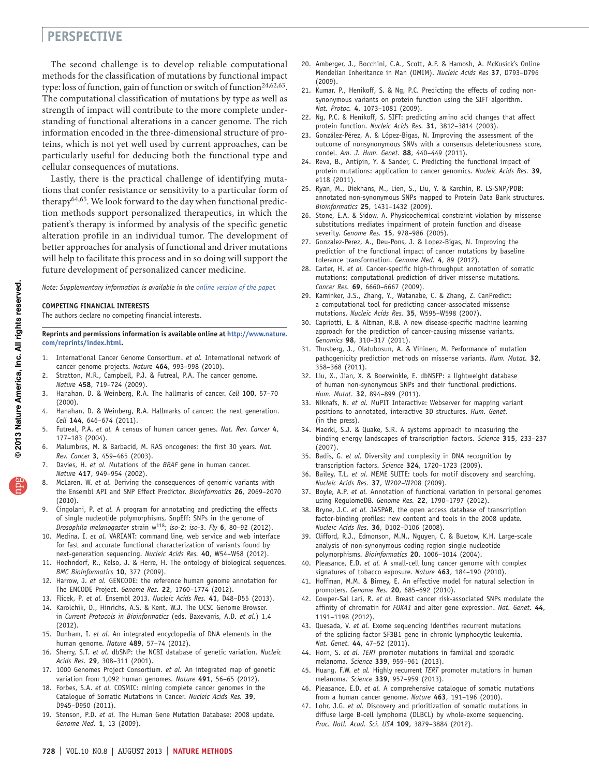## **perspective**

The second challenge is to develop reliable computational methods for the classification of mutations by functional impact type: loss of function, gain of function or switch of function<sup>[24,](#page-5-26)[62,](#page-6-14)63</sup>. The computational classification of mutations by type as well as strength of impact will contribute to the more complete understanding of functional alterations in a cancer genome. The rich information encoded in the three-dimensional structure of proteins, which is not yet well used by current approaches, can be particularly useful for deducing both the functional type and cellular consequences of mutations.

Lastly, there is the practical challenge of identifying mutations that confer resistance or sensitivity to a particular form of therapy[64,](#page-6-16)[65.](#page-6-17) We look forward to the day when functional prediction methods support personalized therapeutics, in which the patient's therapy is informed by analysis of the specific genetic alteration profile in an individual tumor. The development of better approaches for analysis of functional and driver mutations will help to facilitate this process and in so doing will support the future development of personalized cancer medicine.

*Note: Supplementary information is available in the online [version](http://www.nature.com/doifinder/10.1038/nmeth.2562) of the paper.* 

#### **COMPETING FINANCIAL INTERESTS**

The authors declare no competing financial interests.

#### **Reprints and permissions information is available online at [http://www.nature.](http://www.nature.com/reprints/index.html) [com/reprints/index.html](http://www.nature.com/reprints/index.html).**

- <span id="page-5-0"></span>1. International Cancer Genome Consortium. *et al.* International network of cancer genome projects. *Nature* **464**, 993–998 (2010).
- <span id="page-5-1"></span>Stratton, M.R., Campbell, P.J. & Futreal, P.A. The cancer genome. *Nature* **458**, 719–724 (2009).
- <span id="page-5-2"></span>3. Hanahan, D. & Weinberg, R.A. The hallmarks of cancer. *Cell* **100**, 57–70 (2000).
- <span id="page-5-3"></span>4. Hanahan, D. & Weinberg, R.A. Hallmarks of cancer: the next generation. *Cell* **144**, 646–674 (2011).
- <span id="page-5-4"></span>5. Futreal, P.A. *et al.* A census of human cancer genes. *Nat. Rev. Cancer* **4**, 177–183 (2004).
- <span id="page-5-5"></span>6. Malumbres, M. & Barbacid, M. RAS oncogenes: the first 30 years. *Nat. Rev. Cancer* **3**, 459–465 (2003).
- <span id="page-5-6"></span>Davies, H. *et al.* Mutations of the *BRAF* gene in human cancer. *Nature* **417**, 949–954 (2002).
- <span id="page-5-7"></span>8. McLaren, W. *et al.* Deriving the consequences of genomic variants with the Ensembl API and SNP Effect Predictor. *Bioinformatics* **26**, 2069–2070 (2010).
- 9. Cingolani, P. *et al.* A program for annotating and predicting the effects of single nucleotide polymorphisms, SnpEff: SNPs in the genome of *Drosophila melanogaster* strain w118; *iso*-2; *iso*-3. *Fly* **6**, 80–92 (2012).
- <span id="page-5-8"></span>10. Medina, I. *et al.* VARIANT: command line, web service and web interface for fast and accurate functional characterization of variants found by next-generation sequencing. *Nucleic Acids Res.* **40**, W54–W58 (2012).
- <span id="page-5-9"></span>11. Hoehndorf, R., Kelso, J. & Herre, H. The ontology of biological sequences. *BMC Bioinformatics* **10**, 377 (2009).
- <span id="page-5-10"></span>12. Harrow, J. *et al.* GENCODE: the reference human genome annotation for The ENCODE Project. *Genome Res.* **22**, 1760–1774 (2012).
- <span id="page-5-11"></span>13. Flicek, P. *et al.* Ensembl 2013. *Nucleic Acids Res.* **41**, D48–D55 (2013).
- <span id="page-5-12"></span>14. Karolchik, D., Hinrichs, A.S. & Kent, W.J. The UCSC Genome Browser. in *Current Protocols in Bioinformatics* (eds. Baxevanis, A.D. *et al.*) 1.4 (2012).
- <span id="page-5-13"></span>15. Dunham, I. *et al.* An integrated encyclopedia of DNA elements in the human genome. *Nature* **489**, 57–74 (2012).
- <span id="page-5-14"></span>16. Sherry, S.T. *et al.* dbSNP: the NCBI database of genetic variation. *Nucleic Acids Res.* **29**, 308–311 (2001).
- <span id="page-5-15"></span>17. 1000 Genomes Project Consortium. *et al.* An integrated map of genetic variation from 1,092 human genomes. *Nature* **491**, 56–65 (2012).
- <span id="page-5-16"></span>18. Forbes, S.A. *et al.* COSMIC: mining complete cancer genomes in the Catalogue of Somatic Mutations in Cancer. *Nucleic Acids Res.* **39**, D945–D950 (2011).
- <span id="page-5-17"></span>19. Stenson, P.D. *et al.* The Human Gene Mutation Database: 2008 update. *Genome Med.* **1**, 13 (2009).
- <span id="page-5-18"></span>20. Amberger, J., Bocchini, C.A., Scott, A.F. & Hamosh, A. McKusick's Online Mendelian Inheritance in Man (OMIM). *Nucleic Acids Res* **37**, D793–D796 (2009).
- <span id="page-5-19"></span>21. Kumar, P., Henikoff, S. & Ng, P.C. Predicting the effects of coding nonsynonymous variants on protein function using the SIFT algorithm. *Nat. Protoc.* **4**, 1073–1081 (2009).
- <span id="page-5-42"></span>22. Ng, P.C. & Henikoff, S. SIFT: predicting amino acid changes that affect protein function. *Nucleic Acids Res.* **31**, 3812–3814 (2003).
- 23. González-Pérez, A. & López-Bigas, N. Improving the assessment of the outcome of nonsynonymous SNVs with a consensus deleteriousness score, condel. *Am. J. Hum. Genet.* **88**, 440–449 (2011).
- <span id="page-5-26"></span>24. Reva, B., Antipin, Y. & Sander, C. Predicting the functional impact of protein mutations: application to cancer genomics. *Nucleic Acids Res.* **39**, e118 (2011).
- 25. Ryan, M., Diekhans, M., Lien, S., Liu, Y. & Karchin, R. LS-SNP/PDB: annotated non-synonymous SNPs mapped to Protein Data Bank structures. *Bioinformatics* **25**, 1431–1432 (2009).
- <span id="page-5-20"></span>26. Stone, E.A. & Sidow, A. Physicochemical constraint violation by missense substitutions mediates impairment of protein function and disease severity. *Genome Res.* **15**, 978–986 (2005).
- <span id="page-5-21"></span>27. Gonzalez-Perez, A., Deu-Pons, J. & Lopez-Bigas, N. Improving the prediction of the functional impact of cancer mutations by baseline tolerance transformation. *Genome Med.* **4**, 89 (2012).
- <span id="page-5-39"></span>28. Carter, H. *et al.* Cancer-specific high-throughput annotation of somatic mutations: computational prediction of driver missense mutations. *Cancer Res.* **69**, 6660–6667 (2009).
- 29. Kaminker, J.S., Zhang, Y., Watanabe, C. & Zhang, Z. CanPredict: a computational tool for predicting cancer-associated missense mutations. *Nucleic Acids Res.* **35**, W595–W598 (2007).
- <span id="page-5-22"></span>30. Capriotti, E. & Altman, R.B. A new disease-specific machine learning approach for the prediction of cancer-causing missense variants. *Genomics* **98**, 310–317 (2011).
- <span id="page-5-23"></span>31. Thusberg, J., Olatubosun, A. & Vihinen, M. Performance of mutation pathogenicity prediction methods on missense variants. *Hum. Mutat.* **32**, 358–368 (2011).
- <span id="page-5-24"></span>32. Liu, X., Jian, X. & Boerwinkle, E. dbNSFP: a lightweight database of human non-synonymous SNPs and their functional predictions. *Hum. Mutat.* **32**, 894–899 (2011).
- <span id="page-5-25"></span>33. Niknafs, N. *et al.* MuPIT Interactive: Webserver for mapping variant positions to annotated, interactive 3D structures. *Hum. Genet.* (in the press).
- <span id="page-5-27"></span>34. Maerkl, S.J. & Quake, S.R. A systems approach to measuring the binding energy landscapes of transcription factors. *Science* **315**, 233–237 (2007).
- <span id="page-5-28"></span>35. Badis, G. *et al.* Diversity and complexity in DNA recognition by transcription factors. *Science* **324**, 1720–1723 (2009).
- <span id="page-5-29"></span>36. Bailey, T.L. *et al.* MEME SUITE: tools for motif discovery and searching. *Nucleic Acids Res.* **37**, W202–W208 (2009).
- <span id="page-5-30"></span>37. Boyle, A.P. *et al.* Annotation of functional variation in personal genomes using RegulomeDB. *Genome Res.* **22**, 1790–1797 (2012).
- <span id="page-5-31"></span>38. Bryne, J.C. *et al.* JASPAR, the open access database of transcription factor-binding profiles: new content and tools in the 2008 update. *Nucleic Acids Res.* **36**, D102–D106 (2008).
- <span id="page-5-32"></span>39. Clifford, R.J., Edmonson, M.N., Nguyen, C. & Buetow, K.H. Large-scale analysis of non-synonymous coding region single nucleotide polymorphisms. *Bioinformatics* **20**, 1006–1014 (2004).
- <span id="page-5-33"></span>40. Pleasance, E.D. *et al.* A small-cell lung cancer genome with complex signatures of tobacco exposure. *Nature* **463**, 184–190 (2010).
- <span id="page-5-34"></span>41. Hoffman, M.M. & Birney, E. An effective model for natural selection in promoters. *Genome Res.* **20**, 685–692 (2010).
- <span id="page-5-35"></span>42. Cowper-Sal Lari, R. *et al.* Breast cancer risk-associated SNPs modulate the affinity of chromatin for *FOXA1* and alter gene expression. *Nat. Genet.* **44**, 1191–1198 (2012).
- <span id="page-5-36"></span>43. Quesada, V. *et al.* Exome sequencing identifies recurrent mutations of the splicing factor SF3B1 gene in chronic lymphocytic leukemia. *Nat. Genet.* **44**, 47–52 (2011).
- <span id="page-5-37"></span>44. Horn, S. *et al. TERT* promoter mutations in familial and sporadic melanoma. *Science* **339**, 959–961 (2013).
- <span id="page-5-38"></span>45. Huang, F.W. *et al.* Highly recurrent *TERT* promoter mutations in human melanoma. *Science* **339**, 957–959 (2013).
- <span id="page-5-40"></span>46. Pleasance, E.D. *et al.* A comprehensive catalogue of somatic mutations from a human cancer genome. *Nature* **463**, 191–196 (2010).
- <span id="page-5-41"></span>47. Lohr, J.G. *et al.* Discovery and prioritization of somatic mutations in diffuse large B-cell lymphoma (DLBCL) by whole-exome sequencing. *Proc. Natl. Acad. Sci. USA* **109**, 3879–3884 (2012).